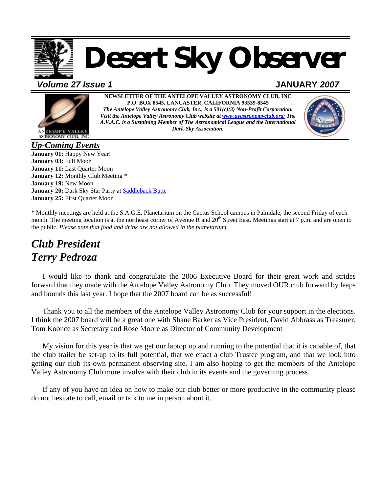

# *Desert Sky Observer*

*Volume 27 Issue 1* **JANUARY** *2007*



**NEWSLETTER OF THE ANTELOPE VALLEY ASTRONOMY CLUB, INC P.O. BOX 8545, LANCASTER, CALIFORNIA 93539-8545**  *The Antelope Valley Astronomy Club, Inc., is a 501(c)(3) Non-Profit Corporation. Visit the Antelope Valley Astronomy Club website at [www.avastronomyclub.org/](http://www.avastronomyclub.org/) The A.V.A.C. is a Sustaining Member of The Astronomical League and the International Dark-Sky Association.*



*Up-Coming Events* **January 01:** Happy New Year! **January 03:** Full Moon **January 11:** Last Quarter Moon **January 12:** Monthly Club Meeting \* **January 19:** New Moon January 20: Dark Sky Star Party at **Saddleback Butte January 25:** First Quarter Moon

\* Monthly meetings are held at the S.A.G.E. Planetarium on the Cactus School campus in Palmdale, the second Friday of each month. The meeting location is at the northeast corner of Avenue R and  $20<sup>th</sup>$  Street East. Meetings start at 7 p.m. and are open to the public. *Please note that food and drink are not allowed in the planetarium* 

## *Club President Terry Pedroza*

I would like to thank and congratulate the 2006 Executive Board for their great work and strides forward that they made with the Antelope Valley Astronomy Club. They moved OUR club forward by leaps and bounds this last year. I hope that the 2007 board can be as successful!

Thank you to all the members of the Antelope Valley Astronomy Club for your support in the elections. I think the 2007 board will be a great one with Shane Barker as Vice President, David Abbrass as Treasurer, Tom Koonce as Secretary and Rose Moore as Director of Community Development

My vision for this year is that we get our laptop up and running to the potential that it is capable of, that the club trailer be set-up to its full potential, that we enact a club Trustee program, and that we look into getting our club its own permanent observing site. I am also hoping to get the members of the Antelope Valley Astronomy Club more involve with their club in its events and the governing process.

If any of you have an idea on how to make our club better or more productive in the community please do not hesitate to call, email or talk to me in person about it.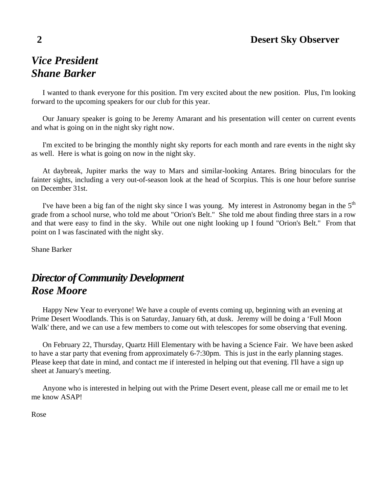## *Vice President Shane Barker*

I wanted to thank everyone for this position. I'm very excited about the new position. Plus, I'm looking forward to the upcoming speakers for our club for this year.

Our January speaker is going to be Jeremy Amarant and his presentation will center on current events and what is going on in the night sky right now.

I'm excited to be bringing the monthly night sky reports for each month and rare events in the night sky as well. Here is what is going on now in the night sky.

At daybreak, Jupiter marks the way to Mars and similar-looking Antares. Bring binoculars for the fainter sights, including a very out-of-season look at the head of Scorpius. This is one hour before sunrise on December 31st.

I've have been a big fan of the night sky since I was young. My interest in Astronomy began in the  $5<sup>th</sup>$ grade from a school nurse, who told me about "Orion's Belt." She told me about finding three stars in a row and that were easy to find in the sky. While out one night looking up I found "Orion's Belt." From that point on I was fascinated with the night sky.

Shane Barker

## *Director of Community Development Rose Moore*

Happy New Year to everyone! We have a couple of events coming up, beginning with an evening at Prime Desert Woodlands. This is on Saturday, January 6th, at dusk. Jeremy will be doing a 'Full Moon Walk' there, and we can use a few members to come out with telescopes for some observing that evening.

On February 22, Thursday, Quartz Hill Elementary with be having a Science Fair. We have been asked to have a star party that evening from approximately 6-7:30pm. This is just in the early planning stages. Please keep that date in mind, and contact me if interested in helping out that evening. I'll have a sign up sheet at January's meeting.

Anyone who is interested in helping out with the Prime Desert event, please call me or email me to let me know ASAP!

Rose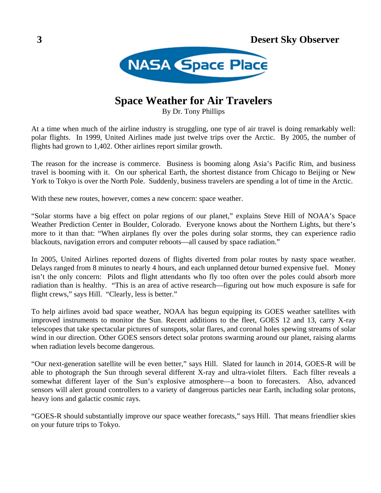

## **Space Weather for Air Travelers**

By Dr. Tony Phillips

At a time when much of the airline industry is struggling, one type of air travel is doing remarkably well: polar flights. In 1999, United Airlines made just twelve trips over the Arctic. By 2005, the number of flights had grown to 1,402. Other airlines report similar growth.

The reason for the increase is commerce. Business is booming along Asia's Pacific Rim, and business travel is booming with it. On our spherical Earth, the shortest distance from Chicago to Beijing or New York to Tokyo is over the North Pole. Suddenly, business travelers are spending a lot of time in the Arctic.

With these new routes, however, comes a new concern: space weather.

"Solar storms have a big effect on polar regions of our planet," explains Steve Hill of NOAA's Space Weather Prediction Center in Boulder, Colorado. Everyone knows about the Northern Lights, but there's more to it than that: "When airplanes fly over the poles during solar storms, they can experience radio blackouts, navigation errors and computer reboots—all caused by space radiation."

In 2005, United Airlines reported dozens of flights diverted from polar routes by nasty space weather. Delays ranged from 8 minutes to nearly 4 hours, and each unplanned detour burned expensive fuel. Money isn't the only concern: Pilots and flight attendants who fly too often over the poles could absorb more radiation than is healthy. "This is an area of active research—figuring out how much exposure is safe for flight crews," says Hill. "Clearly, less is better."

To help airlines avoid bad space weather, NOAA has begun equipping its GOES weather satellites with improved instruments to monitor the Sun. Recent additions to the fleet, GOES 12 and 13, carry X-ray telescopes that take spectacular pictures of sunspots, solar flares, and coronal holes spewing streams of solar wind in our direction. Other GOES sensors detect solar protons swarming around our planet, raising alarms when radiation levels become dangerous.

"Our next-generation satellite will be even better," says Hill. Slated for launch in 2014, GOES-R will be able to photograph the Sun through several different X-ray and ultra-violet filters. Each filter reveals a somewhat different layer of the Sun's explosive atmosphere—a boon to forecasters. Also, advanced sensors will alert ground controllers to a variety of dangerous particles near Earth, including solar protons, heavy ions and galactic cosmic rays.

"GOES-R should substantially improve our space weather forecasts," says Hill. That means friendlier skies on your future trips to Tokyo.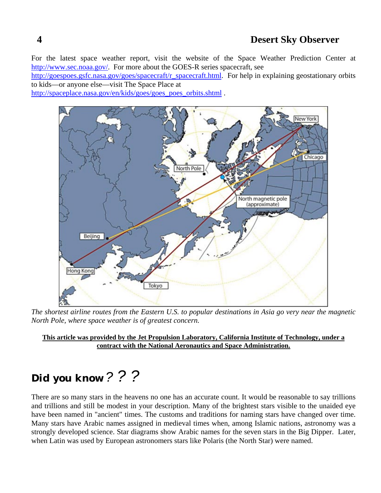For the latest space weather report, visit the website of the Space Weather Prediction Center at [http://www.sec.noaa.gov/.](http://www.sec.noaa.gov/) For more about the GOES-R series spacecraft, see

[http://goespoes.gsfc.nasa.gov/goes/spacecraft/r\\_spacecraft.html.](http://goespoes.gsfc.nasa.gov/goes/spacecraft/r_spacecraft.html) For help in explaining geostationary orbits to kids—or anyone else—visit The Space Place at

[http://spaceplace.nasa.gov/en/kids/goes/goes\\_poes\\_orbits.shtml](http://spaceplace.nasa.gov/en/kids/goes/goes_poes_orbits.shtml) .



*The shortest airline routes from the Eastern U.S. to popular destinations in Asia go very near the magnetic North Pole, where space weather is of greatest concern.* 

**This article was provided by the Jet Propulsion Laboratory, California Institute of Technology, under a contract with the National Aeronautics and Space Administration.**

## *Did you know ? ? ?*

There are so many stars in the heavens no one has an accurate count. It would be reasonable to say trillions and trillions and still be modest in your description. Many of the brightest stars visible to the unaided eye have been named in "ancient" times. The customs and traditions for naming stars have changed over time. Many stars have Arabic names assigned in medieval times when, among Islamic nations, astronomy was a strongly developed science. Star diagrams show Arabic names for the seven stars in the Big Dipper. Later, when Latin was used by European astronomers stars like Polaris (the North Star) were named.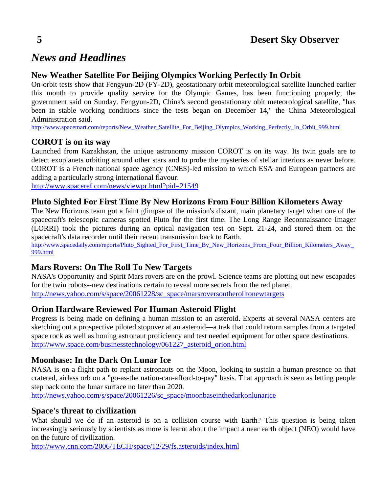## *News and Headlines*

### **New Weather Satellite For Beijing Olympics Working Perfectly In Orbit**

On-orbit tests show that Fengyun-2D (FY-2D), geostationary orbit meteorological satellite launched earlier this month to provide quality service for the Olympic Games, has been functioning properly, the government said on Sunday. Fengyun-2D, China's second geostationary obit meteorological satellite, "has been in stable working conditions since the tests began on December 14," the China Meteorological Administration said.

[http://www.spacemart.com/reports/New\\_Weather\\_Satellite\\_For\\_Beijing\\_Olympics\\_Working\\_Perfectly\\_In\\_Orbit\\_999.html](http://www.spacemart.com/reports/New_Weather_Satellite_For_Beijing_Olympics_Working_Perfectly_In_Orbit_999.html)

#### **COROT is on its way**

Launched from Kazakhstan, the unique astronomy mission COROT is on its way. Its twin goals are to detect exoplanets orbiting around other stars and to probe the mysteries of stellar interiors as never before. COROT is a French national space agency (CNES)-led mission to which ESA and European partners are adding a particularly strong international flavour.

<http://www.spaceref.com/news/viewpr.html?pid=21549>

#### **Pluto Sighted For First Time By New Horizons From Four Billion Kilometers Away**

The New Horizons team got a faint glimpse of the mission's distant, main planetary target when one of the spacecraft's telescopic cameras spotted Pluto for the first time. The Long Range Reconnaissance Imager (LORRI) took the pictures during an optical navigation test on Sept. 21-24, and stored them on the spacecraft's data recorder until their recent transmission back to Earth.

[http://www.spacedaily.com/reports/Pluto\\_Sighted\\_For\\_First\\_Time\\_By\\_New\\_Horizons\\_From\\_Four\\_Billion\\_Kilometers\\_Away\\_](http://www.spacedaily.com/reports/Pluto_Sighted_For_First_Time_By_New_Horizons_From_Four_Billion_Kilometers_Away_999.html) [999.html](http://www.spacedaily.com/reports/Pluto_Sighted_For_First_Time_By_New_Horizons_From_Four_Billion_Kilometers_Away_999.html)

#### **Mars Rovers: On The Roll To New Targets**

NASA's Opportunity and Spirit Mars rovers are on the prowl. Science teams are plotting out new escapades for the twin robots--new destinations certain to reveal more secrets from the red planet. [http://news.yahoo.com/s/space/20061228/sc\\_space/marsroversontherolltonewtargets](http://news.yahoo.com/s/space/20061228/sc_space/marsroversontherolltonewtargets)

#### **Orion Hardware Reviewed For Human Asteroid Flight**

Progress is being made on defining a human mission to an asteroid. Experts at several NASA centers are sketching out a prospective piloted stopover at an asteroid—a trek that could return samples from a targeted space rock as well as honing astronaut proficiency and test needed equipment for other space destinations. [http://www.space.com/businesstechnology/061227\\_asteroid\\_orion.html](http://www.space.com/businesstechnology/061227_asteroid_orion.html)

#### **Moonbase: In the Dark On Lunar Ice**

NASA is on a flight path to replant astronauts on the Moon, looking to sustain a human presence on that cratered, airless orb on a "go-as-the nation-can-afford-to-pay" basis. That approach is seen as letting people step back onto the lunar surface no later than 2020.

[http://news.yahoo.com/s/space/20061226/sc\\_space/moonbaseinthedarkonlunarice](http://news.yahoo.com/s/space/20061226/sc_space/moonbaseinthedarkonlunarice)

#### **Space's threat to civilization**

What should we do if an asteroid is on a collision course with Earth? This question is being taken increasingly seriously by scientists as more is learnt about the impact a near earth object (NEO) would have on the future of civilization.

<http://www.cnn.com/2006/TECH/space/12/29/fs.asteroids/index.html>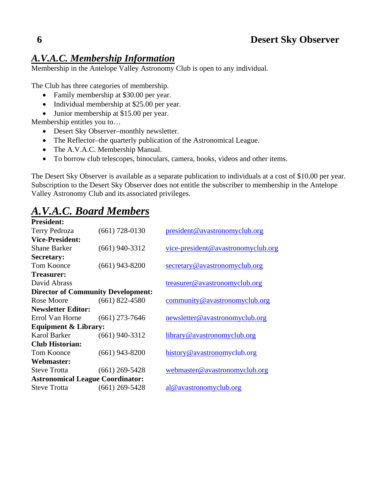## *A.V.A.C. Membership Information*

Membership in the Antelope Valley Astronomy Club is open to any individual.

The Club has three categories of membership.

- Family membership at \$30.00 per year.
- Individual membership at \$25.00 per year.
- Junior membership at \$15.00 per year.

Membership entitles you to…

- Desert Sky Observer–monthly newsletter.
- The Reflector–the quarterly publication of the Astronomical League.
- The A.V.A.C. Membership Manual.
- To borrow club telescopes, binoculars, camera, books, videos and other items.

The Desert Sky Observer is available as a separate publication to individuals at a cost of \$10.00 per year. Subscription to the Desert Sky Observer does not entitle the subscriber to membership in the Antelope Valley Astronomy Club and its associated privileges.

## *A.V.A.C. Board Members*

| <b>President:</b>                       |                                           |                                    |
|-----------------------------------------|-------------------------------------------|------------------------------------|
| Terry Pedroza                           | $(661)$ 728-0130                          | president@avastronomyclub.org      |
| <b>Vice-President:</b>                  |                                           |                                    |
| <b>Shane Barker</b>                     | $(661)$ 940-3312                          | vice-president@avastronomyclub.org |
| <b>Secretary:</b>                       |                                           |                                    |
| <b>Tom Koonce</b>                       | $(661)$ 943-8200                          | secretary@avastronomyclub.org      |
| <b>Treasurer:</b>                       |                                           |                                    |
| David Abrass                            |                                           | treasurer@avastronomyclub.org      |
|                                         | <b>Director of Community Development:</b> |                                    |
| Rose Moore                              | $(661)$ 822-4580                          | community@avastronomyclub.org      |
| <b>Newsletter Editor:</b>               |                                           |                                    |
| Errol Van Horne                         | $(661)$ 273-7646                          | newsletter@avastronomyclub.org     |
| <b>Equipment &amp; Library:</b>         |                                           |                                    |
| <b>Karol Barker</b>                     | $(661)$ 940-3312                          | library@avastronomyclub.org        |
| <b>Club Historian:</b>                  |                                           |                                    |
| Tom Koonce                              | $(661)$ 943-8200                          | history@avastronomyclub.org        |
| Webmaster:                              |                                           |                                    |
| <b>Steve Trotta</b>                     | $(661)$ 269-5428                          | webmaster@avastronomyclub.org      |
| <b>Astronomical League Coordinator:</b> |                                           |                                    |
| <b>Steve Trotta</b>                     | $(661)$ 269-5428                          | al@avastronomyclub.org             |